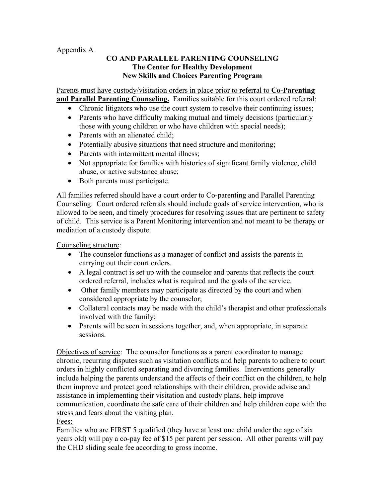#### Appendix A

#### **CO AND PARALLEL PARENTING COUNSELING The Center for Healthy Development New Skills and Choices Parenting Program**

Parents must have custody/visitation orders in place prior to referral to **Co-Parenting and Parallel Parenting Counseling.** Families suitable for this court ordered referral:

- Chronic litigators who use the court system to resolve their continuing issues;
- Parents who have difficulty making mutual and timely decisions (particularly those with young children or who have children with special needs);
- Parents with an alienated child;
- Potentially abusive situations that need structure and monitoring;
- Parents with intermittent mental illness;
- Not appropriate for families with histories of significant family violence, child abuse, or active substance abuse;
- Both parents must participate.

All families referred should have a court order to Co-parenting and Parallel Parenting Counseling. Court ordered referrals should include goals of service intervention, who is allowed to be seen, and timely procedures for resolving issues that are pertinent to safety of child. This service is a Parent Monitoring intervention and not meant to be therapy or mediation of a custody dispute.

Counseling structure:

- The counselor functions as a manager of conflict and assists the parents in carrying out their court orders.
- A legal contract is set up with the counselor and parents that reflects the court ordered referral, includes what is required and the goals of the service.
- Other family members may participate as directed by the court and when considered appropriate by the counselor;
- Collateral contacts may be made with the child's therapist and other professionals involved with the family;
- Parents will be seen in sessions together, and, when appropriate, in separate sessions.

Objectives of service: The counselor functions as a parent coordinator to manage chronic, recurring disputes such as visitation conflicts and help parents to adhere to court orders in highly conflicted separating and divorcing families. Interventions generally include helping the parents understand the affects of their conflict on the children, to help them improve and protect good relationships with their children, provide advise and assistance in implementing their visitation and custody plans, help improve communication, coordinate the safe care of their children and help children cope with the stress and fears about the visiting plan.

Fees:

Families who are FIRST 5 qualified (they have at least one child under the age of six years old) will pay a co-pay fee of \$15 per parent per session. All other parents will pay the CHD sliding scale fee according to gross income.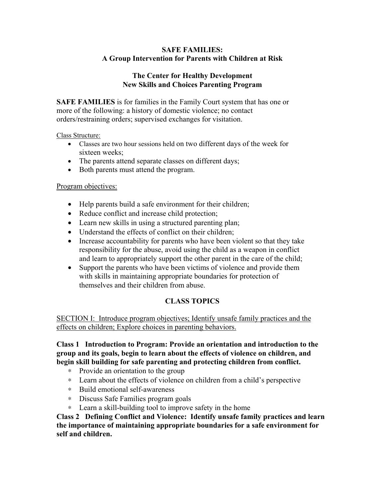#### **SAFE FAMILIES: A Group Intervention for Parents with Children at Risk**

#### **The Center for Healthy Development New Skills and Choices Parenting Program**

**SAFE FAMILIES** is for families in the Family Court system that has one or more of the following: a history of domestic violence; no contact orders/restraining orders; supervised exchanges for visitation.

#### Class Structure:

- Classes are two hour sessions held on two different days of the week for sixteen weeks;
- The parents attend separate classes on different days;
- Both parents must attend the program.

#### Program objectives:

- Help parents build a safe environment for their children;
- Reduce conflict and increase child protection;
- Learn new skills in using a structured parenting plan;
- Understand the effects of conflict on their children;
- Increase accountability for parents who have been violent so that they take responsibility for the abuse, avoid using the child as a weapon in conflict and learn to appropriately support the other parent in the care of the child;
- Support the parents who have been victims of violence and provide them with skills in maintaining appropriate boundaries for protection of themselves and their children from abuse.

#### **CLASS TOPICS**

SECTION I: Introduce program objectives; Identify unsafe family practices and the effects on children; Explore choices in parenting behaviors.

#### **Class 1 Introduction to Program: Provide an orientation and introduction to the group and its goals, begin to learn about the effects of violence on children, and begin skill building for safe parenting and protecting children from conflict.**

- ∗ Provide an orientation to the group
- ∗ Learn about the effects of violence on children from a child's perspective
- ∗ Build emotional self-awareness
- ∗ Discuss Safe Families program goals
- ∗ Learn a skill-building tool to improve safety in the home

**Class 2 Defining Conflict and Violence: Identify unsafe family practices and learn the importance of maintaining appropriate boundaries for a safe environment for self and children.**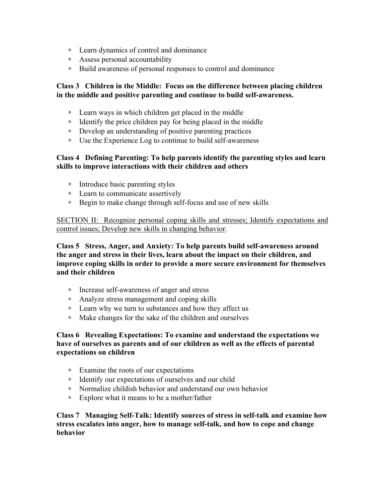- ∗ Learn dynamics of control and dominance
- ∗ Assess personal accountability
- ∗ Build awareness of personal responses to control and dominance

#### **Class 3 Children in the Middle: Focus on the difference between placing children in the middle and positive parenting and continue to build self-awareness.**

- ∗ Learn ways in which children get placed in the middle
- ∗ Identify the price children pay for being placed in the middle
- ∗ Develop an understanding of positive parenting practices
- ∗ Use the Experience Log to continue to build self-awareness

#### **Class 4 Defining Parenting: To help parents identify the parenting styles and learn skills to improve interactions with their children and others**

- ∗ Introduce basic parenting styles
- ∗ Learn to communicate assertively
- ∗ Begin to make change through self-focus and use of new skills

SECTION II: Recognize personal coping skills and stresses; Identify expectations and control issues; Develop new skills in changing behavior.

**Class 5 Stress, Anger, and Anxiety: To help parents build self-awareness around the anger and stress in their lives, learn about the impact on their children, and improve coping skills in order to provide a more secure environment for themselves and their children** 

- ∗ Increase self-awareness of anger and stress
- ∗ Analyze stress management and coping skills
- ∗ Learn why we turn to substances and how they affect us
- ∗ Make changes for the sake of the children and ourselves

#### **Class 6 Revealing Expectations: To examine and understand the expectations we have of ourselves as parents and of our children as well as the effects of parental expectations on children**

- ∗ Examine the roots of our expectations
- ∗ Identify our expectations of ourselves and our child
- ∗ Normalize childish behavior and understand our own behavior
- ∗ Explore what it means to be a mother/father

**Class 7 Managing Self-Talk: Identify sources of stress in self-talk and examine how stress escalates into anger, how to manage self-talk, and how to cope and change behavior**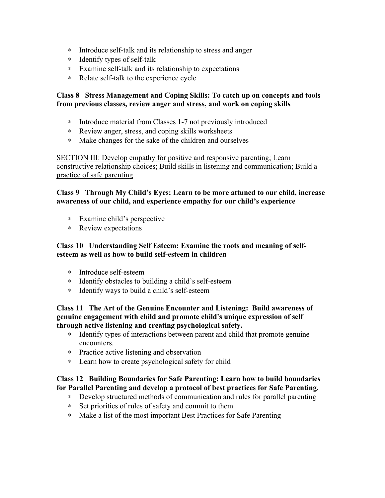- ∗ Introduce self-talk and its relationship to stress and anger
- ∗ Identify types of self-talk
- ∗ Examine self-talk and its relationship to expectations
- ∗ Relate self-talk to the experience cycle

#### **Class 8 Stress Management and Coping Skills: To catch up on concepts and tools from previous classes, review anger and stress, and work on coping skills**

- ∗ Introduce material from Classes 1-7 not previously introduced
- ∗ Review anger, stress, and coping skills worksheets
- ∗ Make changes for the sake of the children and ourselves

SECTION III: Develop empathy for positive and responsive parenting; Learn constructive relationship choices; Build skills in listening and communication; Build a practice of safe parenting

#### **Class 9 Through My Child's Eyes: Learn to be more attuned to our child, increase awareness of our child, and experience empathy for our child's experience**

- ∗ Examine child's perspective
- ∗ Review expectations

#### **Class 10 Understanding Self Esteem: Examine the roots and meaning of selfesteem as well as how to build self-esteem in children**

- ∗ Introduce self-esteem
- ∗ Identify obstacles to building a child's self-esteem
- ∗ Identify ways to build a child's self-esteem

#### **Class 11 The Art of the Genuine Encounter and Listening: Build awareness of genuine engagement with child and promote child's unique expression of self through active listening and creating psychological safety.**

- ∗ Identify types of interactions between parent and child that promote genuine encounters.
- ∗ Practice active listening and observation
- ∗ Learn how to create psychological safety for child

#### **Class 12 Building Boundaries for Safe Parenting: Learn how to build boundaries for Parallel Parenting and develop a protocol of best practices for Safe Parenting.**

- ∗ Develop structured methods of communication and rules for parallel parenting
- ∗ Set priorities of rules of safety and commit to them
- ∗ Make a list of the most important Best Practices for Safe Parenting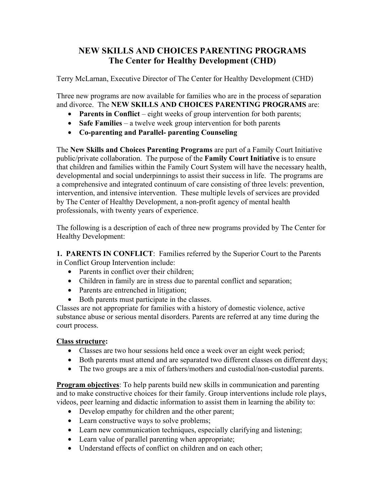## **NEW SKILLS AND CHOICES PARENTING PROGRAMS The Center for Healthy Development (CHD)**

Terry McLarnan, Executive Director of The Center for Healthy Development (CHD)

Three new programs are now available for families who are in the process of separation and divorce. The **NEW SKILLS AND CHOICES PARENTING PROGRAMS** are:

- **Parents in Conflict** eight weeks of group intervention for both parents;
- **Safe Families** a twelve week group intervention for both parents
- **Co-parenting and Parallel- parenting Counseling**

The **New Skills and Choices Parenting Programs** are part of a Family Court Initiative public/private collaboration. The purpose of the **Family Court Initiative** is to ensure that children and families within the Family Court System will have the necessary health, developmental and social underpinnings to assist their success in life. The programs are a comprehensive and integrated continuum of care consisting of three levels: prevention, intervention, and intensive intervention. These multiple levels of services are provided by The Center of Healthy Development, a non-profit agency of mental health professionals, with twenty years of experience.

The following is a description of each of three new programs provided by The Center for Healthy Development:

**1. PARENTS IN CONFLICT**: Families referred by the Superior Court to the Parents in Conflict Group Intervention include:

- Parents in conflict over their children;
- Children in family are in stress due to parental conflict and separation;
- Parents are entrenched in litigation;
- Both parents must participate in the classes.

Classes are not appropriate for families with a history of domestic violence, active substance abuse or serious mental disorders. Parents are referred at any time during the court process.

#### **Class structure:**

- Classes are two hour sessions held once a week over an eight week period;
- Both parents must attend and are separated two different classes on different days;
- The two groups are a mix of fathers/mothers and custodial/non-custodial parents.

**Program objectives**: To help parents build new skills in communication and parenting and to make constructive choices for their family. Group interventions include role plays, videos, peer learning and didactic information to assist them in learning the ability to:

- Develop empathy for children and the other parent;
- Learn constructive ways to solve problems;
- Learn new communication techniques, especially clarifying and listening;
- Learn value of parallel parenting when appropriate;
- Understand effects of conflict on children and on each other;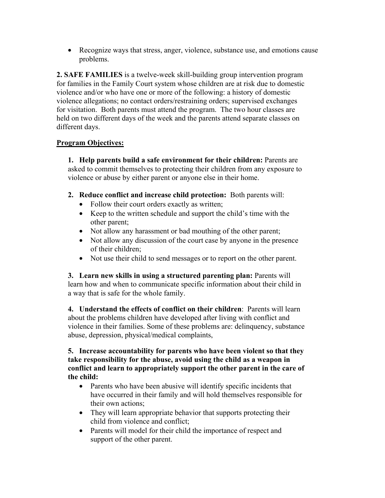• Recognize ways that stress, anger, violence, substance use, and emotions cause problems.

**2. SAFE FAMILIES** is a twelve-week skill-building group intervention program for families in the Family Court system whose children are at risk due to domestic violence and/or who have one or more of the following: a history of domestic violence allegations; no contact orders/restraining orders; supervised exchanges for visitation. Both parents must attend the program. The two hour classes are held on two different days of the week and the parents attend separate classes on different days.

#### **Program Objectives:**

**1. Help parents build a safe environment for their children:** Parents are asked to commit themselves to protecting their children from any exposure to violence or abuse by either parent or anyone else in their home.

- **2. Reduce conflict and increase child protection:** Both parents will:
	- Follow their court orders exactly as written;
	- Keep to the written schedule and support the child's time with the other parent;
	- Not allow any harassment or bad mouthing of the other parent;
	- Not allow any discussion of the court case by anyone in the presence of their children;
	- Not use their child to send messages or to report on the other parent.

**3. Learn new skills in using a structured parenting plan:** Parents will learn how and when to communicate specific information about their child in a way that is safe for the whole family.

**4. Understand the effects of conflict on their children**: Parents will learn about the problems children have developed after living with conflict and violence in their families. Some of these problems are: delinquency, substance abuse, depression, physical/medical complaints,

#### **5. Increase accountability for parents who have been violent so that they take responsibility for the abuse, avoid using the child as a weapon in conflict and learn to appropriately support the other parent in the care of the child:**

- Parents who have been abusive will identify specific incidents that have occurred in their family and will hold themselves responsible for their own actions;
- They will learn appropriate behavior that supports protecting their child from violence and conflict;
- Parents will model for their child the importance of respect and support of the other parent.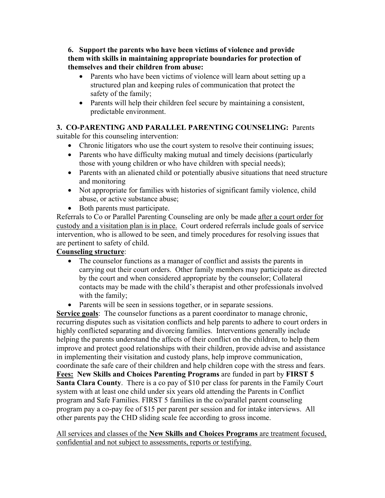**6. Support the parents who have been victims of violence and provide them with skills in maintaining appropriate boundaries for protection of themselves and their children from abuse:** 

- Parents who have been victims of violence will learn about setting up a structured plan and keeping rules of communication that protect the safety of the family;
- Parents will help their children feel secure by maintaining a consistent, predictable environment.

# **3. CO-PARENTING AND PARALLEL PARENTING COUNSELING:** Parents

suitable for this counseling intervention:

- Chronic litigators who use the court system to resolve their continuing issues;
- Parents who have difficulty making mutual and timely decisions (particularly those with young children or who have children with special needs);
- Parents with an alienated child or potentially abusive situations that need structure and monitoring
- Not appropriate for families with histories of significant family violence, child abuse, or active substance abuse;
- Both parents must participate.

Referrals to Co or Parallel Parenting Counseling are only be made after a court order for custody and a visitation plan is in place. Court ordered referrals include goals of service intervention, who is allowed to be seen, and timely procedures for resolving issues that are pertinent to safety of child.

### **Counseling structure**:

- The counselor functions as a manager of conflict and assists the parents in carrying out their court orders. Other family members may participate as directed by the court and when considered appropriate by the counselor; Collateral contacts may be made with the child's therapist and other professionals involved with the family;
- Parents will be seen in sessions together, or in separate sessions.

**Service goals**: The counselor functions as a parent coordinator to manage chronic, recurring disputes such as visitation conflicts and help parents to adhere to court orders in highly conflicted separating and divorcing families. Interventions generally include helping the parents understand the affects of their conflict on the children, to help them improve and protect good relationships with their children, provide advise and assistance in implementing their visitation and custody plans, help improve communication, coordinate the safe care of their children and help children cope with the stress and fears. **Fees: New Skills and Choices Parenting Programs** are funded in part by **FIRST 5 Santa Clara County**. There is a co pay of \$10 per class for parents in the Family Court system with at least one child under six years old attending the Parents in Conflict program and Safe Families. FIRST 5 families in the co/parallel parent counseling program pay a co-pay fee of \$15 per parent per session and for intake interviews. All other parents pay the CHD sliding scale fee according to gross income.

All services and classes of the **New Skills and Choices Programs** are treatment focused, confidential and not subject to assessments, reports or testifying.